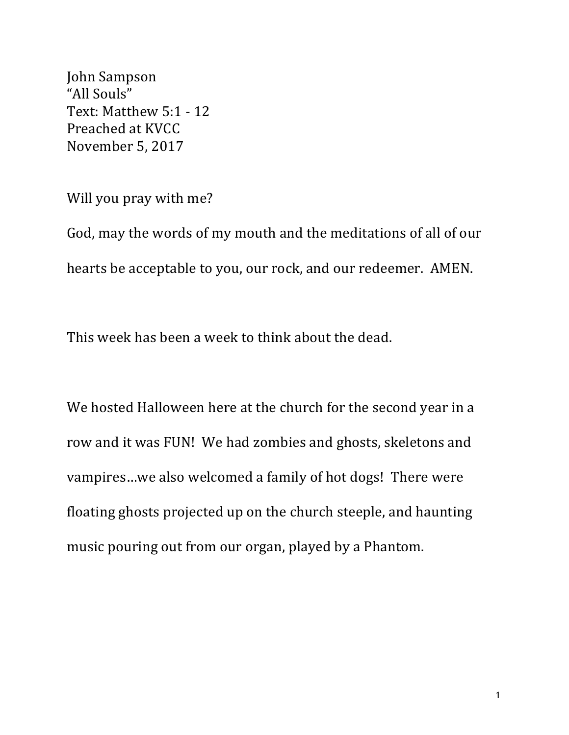John Sampson "All Souls" Text: Matthew 5:1 - 12 Preached at KVCC November 5, 2017

Will you pray with me?

God, may the words of my mouth and the meditations of all of our hearts be acceptable to you, our rock, and our redeemer. AMEN.

This week has been a week to think about the dead.

We hosted Halloween here at the church for the second year in a row and it was FUN! We had zombies and ghosts, skeletons and vampires...we also welcomed a family of hot dogs! There were floating ghosts projected up on the church steeple, and haunting music pouring out from our organ, played by a Phantom.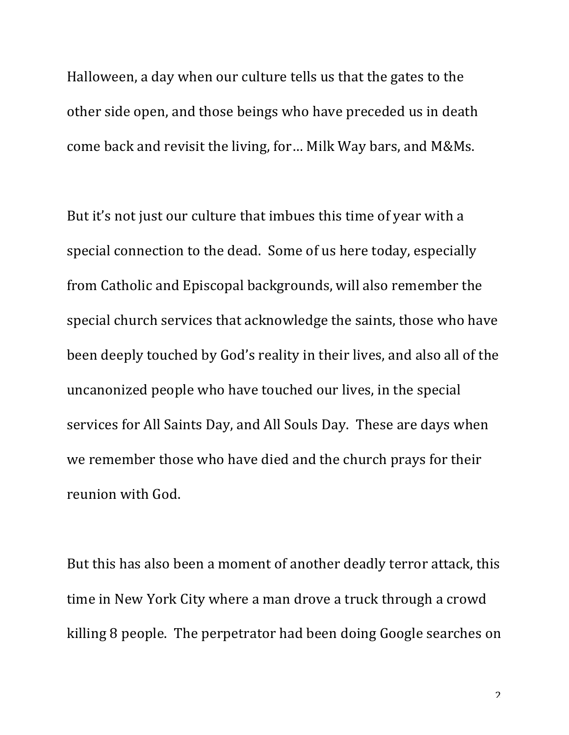Halloween, a day when our culture tells us that the gates to the other side open, and those beings who have preceded us in death come back and revisit the living, for... Milk Way bars, and M&Ms.

But it's not just our culture that imbues this time of year with a special connection to the dead. Some of us here today, especially from Catholic and Episcopal backgrounds, will also remember the special church services that acknowledge the saints, those who have been deeply touched by God's reality in their lives, and also all of the uncanonized people who have touched our lives, in the special services for All Saints Day, and All Souls Day. These are days when we remember those who have died and the church prays for their reunion with God.

But this has also been a moment of another deadly terror attack, this time in New York City where a man drove a truck through a crowd killing 8 people. The perpetrator had been doing Google searches on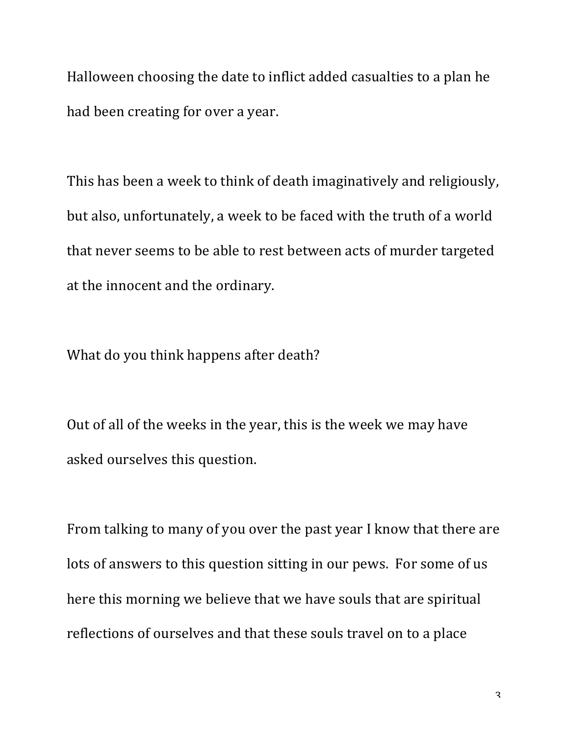Halloween choosing the date to inflict added casualties to a plan he had been creating for over a year.

This has been a week to think of death imaginatively and religiously, but also, unfortunately, a week to be faced with the truth of a world that never seems to be able to rest between acts of murder targeted at the innocent and the ordinary.

What do you think happens after death?

Out of all of the weeks in the year, this is the week we may have asked ourselves this question.

From talking to many of you over the past year I know that there are lots of answers to this question sitting in our pews. For some of us here this morning we believe that we have souls that are spiritual reflections of ourselves and that these souls travel on to a place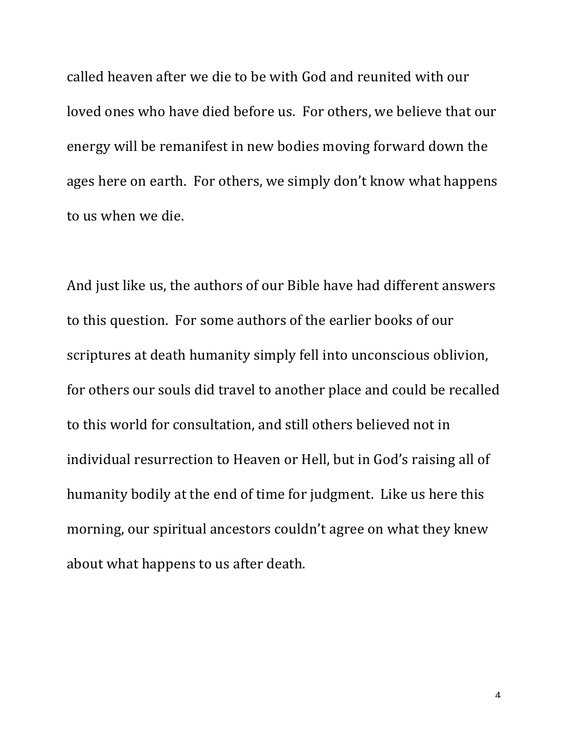called heaven after we die to be with God and reunited with our loved ones who have died before us. For others, we believe that our energy will be remanifest in new bodies moving forward down the ages here on earth. For others, we simply don't know what happens to us when we die.

And just like us, the authors of our Bible have had different answers to this question. For some authors of the earlier books of our scriptures at death humanity simply fell into unconscious oblivion, for others our souls did travel to another place and could be recalled to this world for consultation, and still others believed not in individual resurrection to Heaven or Hell, but in God's raising all of humanity bodily at the end of time for judgment. Like us here this morning, our spiritual ancestors couldn't agree on what they knew about what happens to us after death.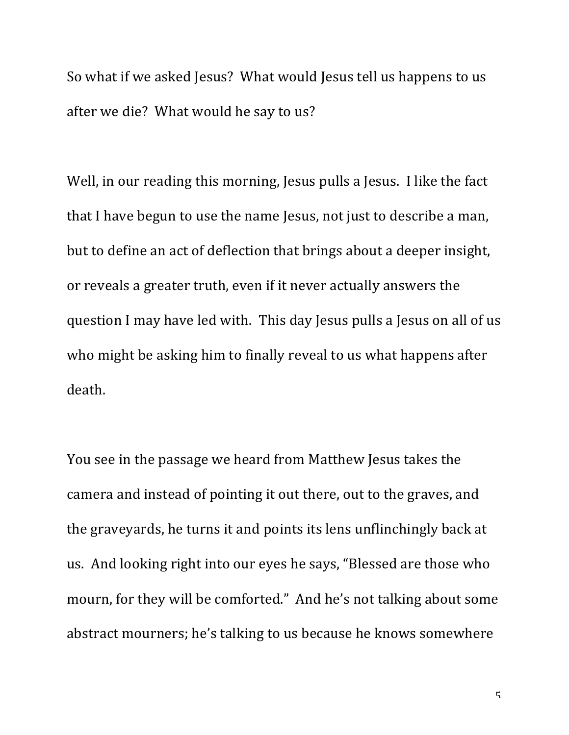So what if we asked Jesus? What would Jesus tell us happens to us after we die? What would he say to us?

Well, in our reading this morning, Jesus pulls a Jesus. I like the fact that I have begun to use the name Jesus, not just to describe a man, but to define an act of deflection that brings about a deeper insight, or reveals a greater truth, even if it never actually answers the question I may have led with. This day Jesus pulls a Jesus on all of us who might be asking him to finally reveal to us what happens after death.

You see in the passage we heard from Matthew Jesus takes the camera and instead of pointing it out there, out to the graves, and the graveyards, he turns it and points its lens unflinchingly back at us. And looking right into our eyes he says, "Blessed are those who mourn, for they will be comforted." And he's not talking about some abstract mourners; he's talking to us because he knows somewhere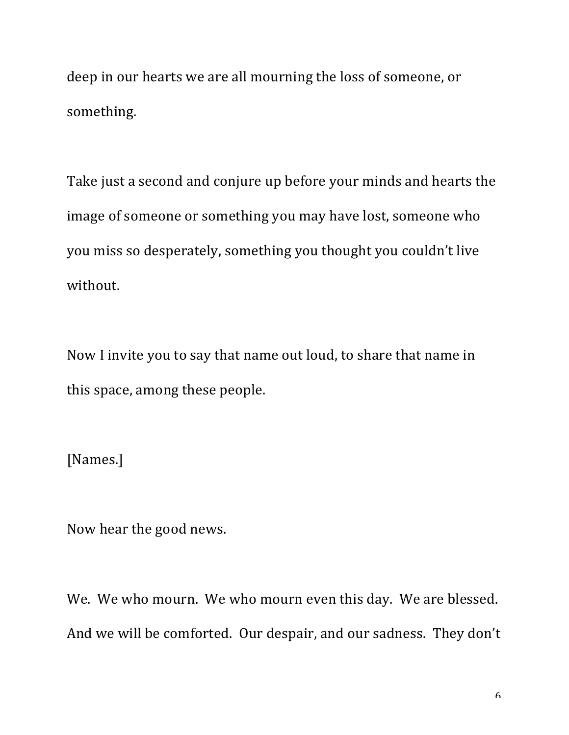deep in our hearts we are all mourning the loss of someone, or something.

Take just a second and conjure up before your minds and hearts the image of someone or something you may have lost, someone who you miss so desperately, something you thought you couldn't live without.

Now I invite you to say that name out loud, to share that name in this space, among these people.

[Names.]

Now hear the good news.

We. We who mourn. We who mourn even this day. We are blessed. And we will be comforted. Our despair, and our sadness. They don't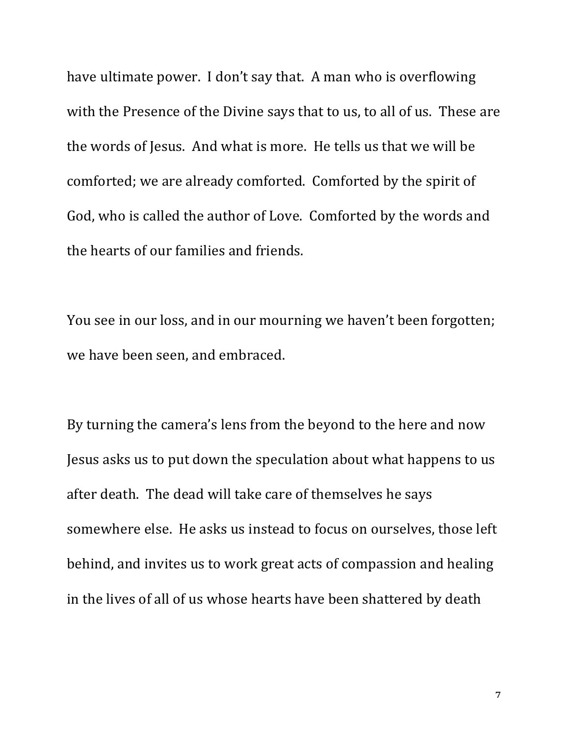have ultimate power. I don't say that. A man who is overflowing with the Presence of the Divine says that to us, to all of us. These are the words of Jesus. And what is more. He tells us that we will be comforted; we are already comforted. Comforted by the spirit of God, who is called the author of Love. Comforted by the words and the hearts of our families and friends.

You see in our loss, and in our mourning we haven't been forgotten; we have been seen, and embraced.

By turning the camera's lens from the beyond to the here and now Jesus asks us to put down the speculation about what happens to us after death. The dead will take care of themselves he says somewhere else. He asks us instead to focus on ourselves, those left behind, and invites us to work great acts of compassion and healing in the lives of all of us whose hearts have been shattered by death